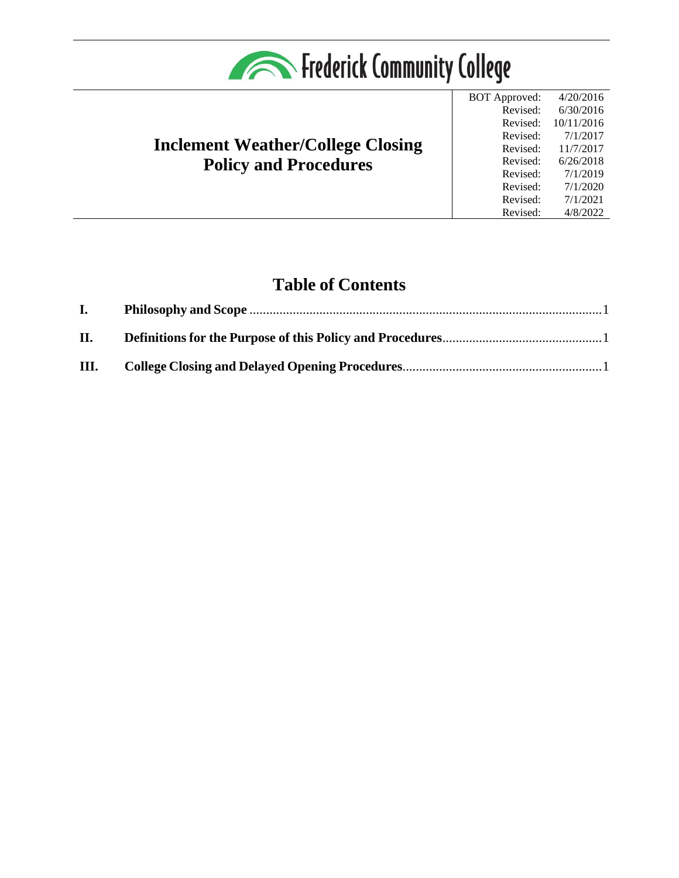

# **Inclement Weather/College Closing Policy and Procedures**

BOT Approved: 4/20/2016 Revised: Revised: Revised: Revised: Revised: Revised: Revised: Revised: Revised: 6/30/2016 10/11/2016 7/1/2017 11/7/2017 6/26/2018 7/1/2019 7/1/2020 7/1/2021 4/8/2022

# **Table of Contents**

| I.   |  |
|------|--|
| П.   |  |
| III. |  |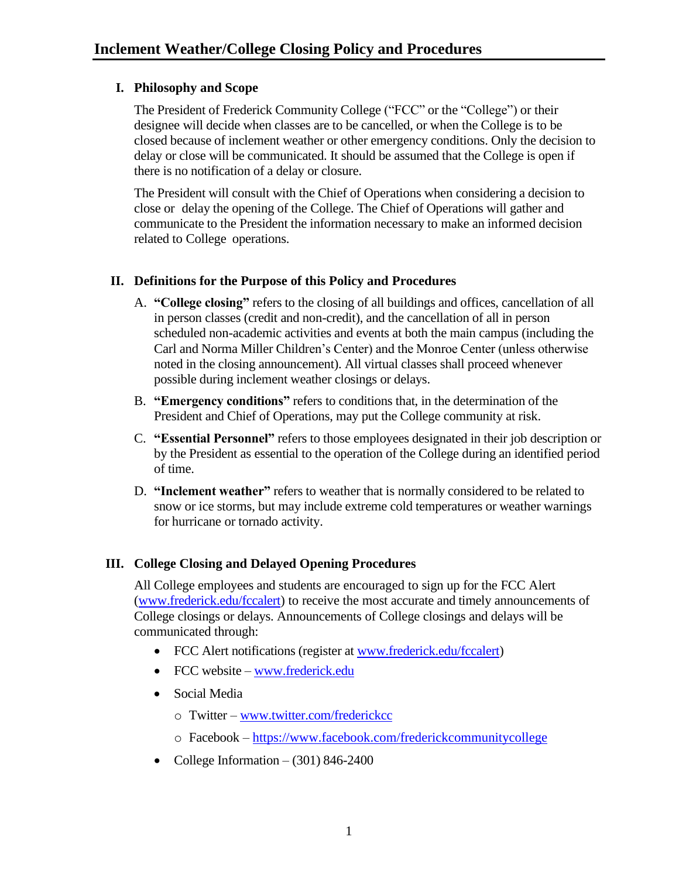## <span id="page-1-0"></span>**I. Philosophy and Scope**

The President of Frederick Community College ("FCC" or the "College") or their designee will decide when classes are to be cancelled, or when the College is to be closed because of inclement weather or other emergency conditions. Only the decision to delay or close will be communicated. It should be assumed that the College is open if there is no notification of a delay or closure.

The President will consult with the Chief of Operations when considering a decision to close or delay the opening of the College. The Chief of Operations will gather and communicate to the President the information necessary to make an informed decision related to College operations.

## <span id="page-1-1"></span>**II. Definitions for the Purpose of this Policy and Procedures**

- A. **"College closing"** refers to the closing of all buildings and offices, cancellation of all in person classes (credit and non-credit), and the cancellation of all in person scheduled non-academic activities and events at both the main campus (including the Carl and Norma Miller Children's Center) and the Monroe Center (unless otherwise noted in the closing announcement). All virtual classes shall proceed whenever possible during inclement weather closings or delays.
- B. **"Emergency conditions"** refers to conditions that, in the determination of the President and Chief of Operations, may put the College community at risk.
- C. **"Essential Personnel"** refers to those employees designated in their job description or by the President as essential to the operation of the College during an identified period of time.
- D. **"Inclement weather"** refers to weather that is normally considered to be related to snow or ice storms, but may include extreme cold temperatures or weather warnings for hurricane or tornado activity.

## <span id="page-1-2"></span>**III. College Closing and Delayed Opening Procedures**

All College employees and students are encouraged to sign up for the FCC Alert [\(www.frederick.edu/fccalert\)](http://www.frederick.edu/fccalert) to receive the most accurate and timely announcements of College closings or delays. Announcements of College closings and delays will be communicated through:

- FCC Alert notifications (register at [www.frederick.edu/fccalert\)](http://www.frederick.edu/fccalert)
- FCC website [www.frederick.edu](http://www.frederick.edu/)
- Social Media
	- o Twitter [www.twitter.com/frederickcc](http://www.twitter.com/frederickcc)
	- o Facebook <https://www.facebook.com/frederickcommunitycollege>
- College Information  $(301)$  846-2400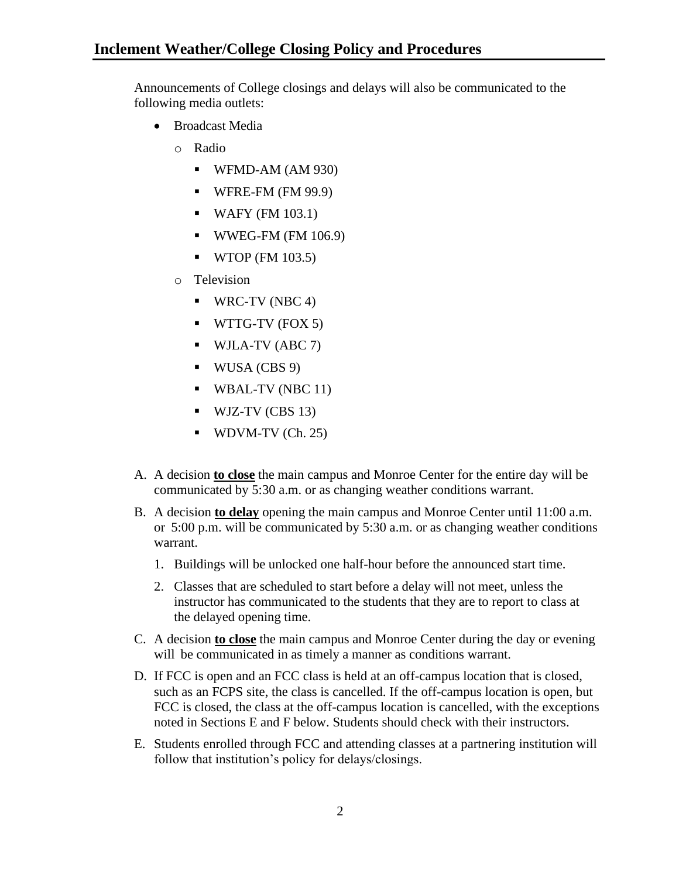Announcements of College closings and delays will also be communicated to the following media outlets:

- Broadcast Media
	- o Radio
		- $\blacksquare$  WFMD-AM (AM 930)
		- $\blacksquare$  WFRE-FM (FM 99.9)
		- $\blacksquare$  WAFY (FM 103.1)
		- $\blacksquare$  WWEG-FM (FM 106.9)
		- $\blacksquare$  WTOP (FM 103.5)
	- o Television
		- $\blacksquare$  WRC-TV (NBC 4)
		- $\blacksquare$  WTTG-TV (FOX 5)
		- WJLA-TV (ABC 7)
		- $\blacksquare$  WUSA (CBS 9)
		- WBAL-TV (NBC 11)
		- $\blacksquare$  WJZ-TV (CBS 13)
		- $\blacksquare$  WDVM-TV (Ch. 25)
- A. A decision **to close** the main campus and Monroe Center for the entire day will be communicated by 5:30 a.m. or as changing weather conditions warrant.
- B. A decision **to delay** opening the main campus and Monroe Center until 11:00 a.m. or 5:00 p.m. will be communicated by 5:30 a.m. or as changing weather conditions warrant.
	- 1. Buildings will be unlocked one half-hour before the announced start time.
	- 2. Classes that are scheduled to start before a delay will not meet, unless the instructor has communicated to the students that they are to report to class at the delayed opening time.
- C. A decision **to close** the main campus and Monroe Center during the day or evening will be communicated in as timely a manner as conditions warrant.
- D. If FCC is open and an FCC class is held at an off-campus location that is closed, such as an FCPS site, the class is cancelled. If the off-campus location is open, but FCC is closed, the class at the off-campus location is cancelled, with the exceptions noted in Sections E and F below. Students should check with their instructors.
- E. Students enrolled through FCC and attending classes at a partnering institution will follow that institution's policy for delays/closings.